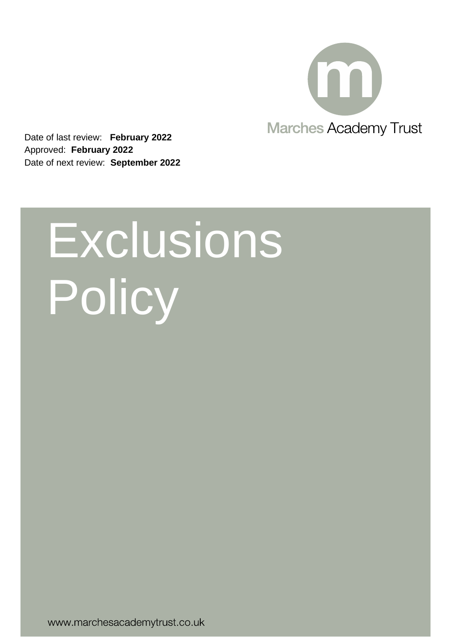

Date of last review: **February 2022** Approved: **February 2022** Date of next review: **September 2022**

# Exclusions Policy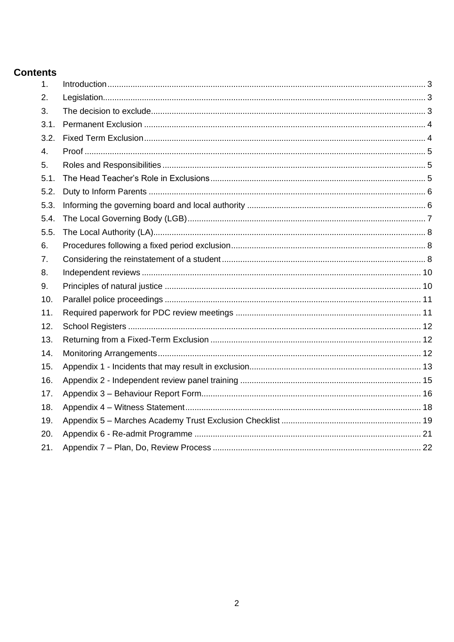#### **Contents**

| 1 <sub>1</sub> |  |
|----------------|--|
| 2.             |  |
| 3.             |  |
| 3.1.           |  |
| 3.2.           |  |
| 4.             |  |
| 5.             |  |
| 5.1.           |  |
| 5.2.           |  |
| 5.3.           |  |
| 5.4.           |  |
| 5.5.           |  |
| 6.             |  |
| 7 <sub>1</sub> |  |
| 8.             |  |
| 9.             |  |
| 10.            |  |
| 11.            |  |
| 12.            |  |
| 13.            |  |
| 14.            |  |
| 15.            |  |
| 16.            |  |
| 17.            |  |
| 18.            |  |
| 19.            |  |
| 20.            |  |
| 21.            |  |
|                |  |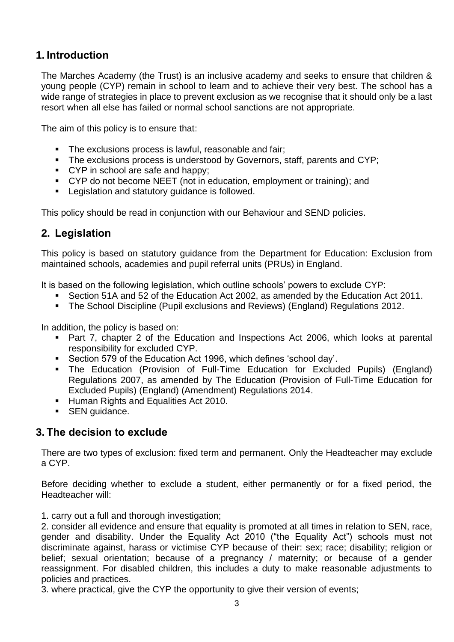## <span id="page-2-0"></span>**1. Introduction**

The Marches Academy (the Trust) is an inclusive academy and seeks to ensure that children & young people (CYP) remain in school to learn and to achieve their very best. The school has a wide range of strategies in place to prevent exclusion as we recognise that it should only be a last resort when all else has failed or normal school sanctions are not appropriate.

The aim of this policy is to ensure that:

- The exclusions process is lawful, reasonable and fair;
- **•** The exclusions process is understood by Governors, staff, parents and CYP;
- CYP in school are safe and happy;
- CYP do not become NEET (not in education, employment or training); and
- Legislation and statutory guidance is followed.

This policy should be read in conjunction with our Behaviour and SEND policies.

#### <span id="page-2-1"></span>**2. Legislation**

This policy is based on statutory guidance from the Department for Education: Exclusion from maintained schools, academies and pupil referral units (PRUs) in England.

It is based on the following legislation, which outline schools' powers to exclude CYP:

- Section 51A and 52 of the Education Act 2002, as amended by the Education Act 2011.
- The School Discipline (Pupil exclusions and Reviews) (England) Regulations 2012.

In addition, the policy is based on:

- Part 7, chapter 2 of the Education and Inspections Act 2006, which looks at parental responsibility for excluded CYP.
- Section 579 of the Education Act 1996, which defines 'school day'.
- The Education (Provision of Full-Time Education for Excluded Pupils) (England) Regulations 2007, as amended by The Education (Provision of Full-Time Education for Excluded Pupils) (England) (Amendment) Regulations 2014.
- **E** Human Rights and Equalities Act 2010.
- SEN guidance.

#### <span id="page-2-2"></span>**3. The decision to exclude**

There are two types of exclusion: fixed term and permanent. Only the Headteacher may exclude a CYP.

Before deciding whether to exclude a student, either permanently or for a fixed period, the Headteacher will:

1. carry out a full and thorough investigation;

2. consider all evidence and ensure that equality is promoted at all times in relation to SEN, race, gender and disability. Under the Equality Act 2010 ("the Equality Act") schools must not discriminate against, harass or victimise CYP because of their: sex; race; disability; religion or belief; sexual orientation; because of a pregnancy / maternity; or because of a gender reassignment. For disabled children, this includes a duty to make reasonable adjustments to policies and practices.

3. where practical, give the CYP the opportunity to give their version of events;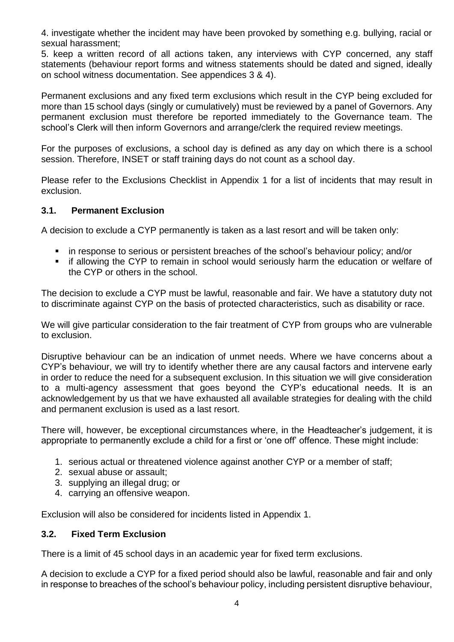4. investigate whether the incident may have been provoked by something e.g. bullying, racial or sexual harassment;

5. keep a written record of all actions taken, any interviews with CYP concerned, any staff statements (behaviour report forms and witness statements should be dated and signed, ideally on school witness documentation. See appendices 3 & 4).

Permanent exclusions and any fixed term exclusions which result in the CYP being excluded for more than 15 school days (singly or cumulatively) must be reviewed by a panel of Governors. Any permanent exclusion must therefore be reported immediately to the Governance team. The school's Clerk will then inform Governors and arrange/clerk the required review meetings.

For the purposes of exclusions, a school day is defined as any day on which there is a school session. Therefore, INSET or staff training days do not count as a school day.

Please refer to the Exclusions Checklist in Appendix 1 for a list of incidents that may result in exclusion.

#### <span id="page-3-0"></span>**3.1. Permanent Exclusion**

A decision to exclude a CYP permanently is taken as a last resort and will be taken only:

- in response to serious or persistent breaches of the school's behaviour policy; and/or
- if allowing the CYP to remain in school would seriously harm the education or welfare of the CYP or others in the school.

The decision to exclude a CYP must be lawful, reasonable and fair. We have a statutory duty not to discriminate against CYP on the basis of protected characteristics, such as disability or race.

We will give particular consideration to the fair treatment of CYP from groups who are vulnerable to exclusion.

Disruptive behaviour can be an indication of unmet needs. Where we have concerns about a CYP's behaviour, we will try to identify whether there are any causal factors and intervene early in order to reduce the need for a subsequent exclusion. In this situation we will give consideration to a multi-agency assessment that goes beyond the CYP's educational needs. It is an acknowledgement by us that we have exhausted all available strategies for dealing with the child and permanent exclusion is used as a last resort.

There will, however, be exceptional circumstances where, in the Headteacher's judgement, it is appropriate to permanently exclude a child for a first or 'one off' offence. These might include:

- 1. serious actual or threatened violence against another CYP or a member of staff;
- 2. sexual abuse or assault;
- 3. supplying an illegal drug; or
- 4. carrying an offensive weapon.

Exclusion will also be considered for incidents listed in Appendix 1.

#### <span id="page-3-1"></span>**3.2. Fixed Term Exclusion**

There is a limit of 45 school days in an academic year for fixed term exclusions.

A decision to exclude a CYP for a fixed period should also be lawful, reasonable and fair and only in response to breaches of the school's behaviour policy, including persistent disruptive behaviour,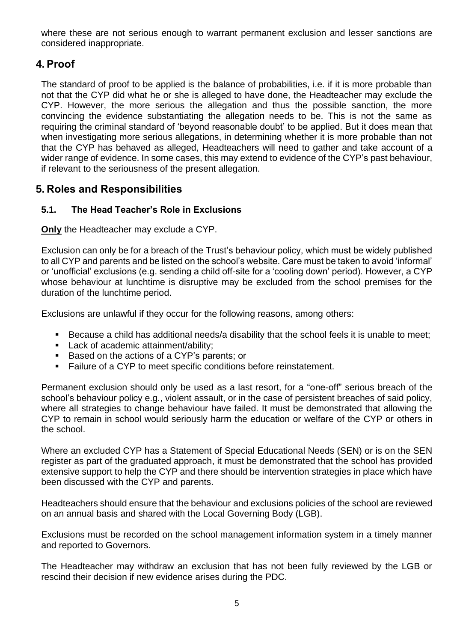where these are not serious enough to warrant permanent exclusion and lesser sanctions are considered inappropriate.

## <span id="page-4-0"></span>**4. Proof**

The standard of proof to be applied is the balance of probabilities, i.e. if it is more probable than not that the CYP did what he or she is alleged to have done, the Headteacher may exclude the CYP. However, the more serious the allegation and thus the possible sanction, the more convincing the evidence substantiating the allegation needs to be. This is not the same as requiring the criminal standard of 'beyond reasonable doubt' to be applied. But it does mean that when investigating more serious allegations, in determining whether it is more probable than not that the CYP has behaved as alleged, Headteachers will need to gather and take account of a wider range of evidence. In some cases, this may extend to evidence of the CYP's past behaviour, if relevant to the seriousness of the present allegation.

## <span id="page-4-1"></span>**5. Roles and Responsibilities**

#### <span id="page-4-2"></span>**5.1. The Head Teacher's Role in Exclusions**

**Only** the Headteacher may exclude a CYP.

Exclusion can only be for a breach of the Trust's behaviour policy, which must be widely published to all CYP and parents and be listed on the school's website. Care must be taken to avoid 'informal' or 'unofficial' exclusions (e.g. sending a child off-site for a 'cooling down' period). However, a CYP whose behaviour at lunchtime is disruptive may be excluded from the school premises for the duration of the lunchtime period.

Exclusions are unlawful if they occur for the following reasons, among others:

- Because a child has additional needs/a disability that the school feels it is unable to meet;
- Lack of academic attainment/ability;
- Based on the actions of a CYP's parents; or
- Failure of a CYP to meet specific conditions before reinstatement.

Permanent exclusion should only be used as a last resort, for a "one-off" serious breach of the school's behaviour policy e.g., violent assault, or in the case of persistent breaches of said policy, where all strategies to change behaviour have failed. It must be demonstrated that allowing the CYP to remain in school would seriously harm the education or welfare of the CYP or others in the school.

Where an excluded CYP has a Statement of Special Educational Needs (SEN) or is on the SEN register as part of the graduated approach, it must be demonstrated that the school has provided extensive support to help the CYP and there should be intervention strategies in place which have been discussed with the CYP and parents.

Headteachers should ensure that the behaviour and exclusions policies of the school are reviewed on an annual basis and shared with the Local Governing Body (LGB).

Exclusions must be recorded on the school management information system in a timely manner and reported to Governors.

The Headteacher may withdraw an exclusion that has not been fully reviewed by the LGB or rescind their decision if new evidence arises during the PDC.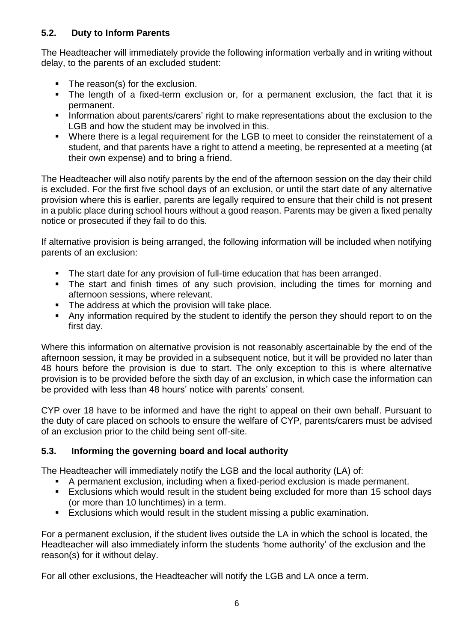#### <span id="page-5-0"></span>**5.2. Duty to Inform Parents**

The Headteacher will immediately provide the following information verbally and in writing without delay, to the parents of an excluded student:

- The reason(s) for the exclusion.
- The length of a fixed-term exclusion or, for a permanent exclusion, the fact that it is permanent.
- **.** Information about parents/carers' right to make representations about the exclusion to the LGB and how the student may be involved in this.
- Where there is a legal requirement for the LGB to meet to consider the reinstatement of a student, and that parents have a right to attend a meeting, be represented at a meeting (at their own expense) and to bring a friend.

The Headteacher will also notify parents by the end of the afternoon session on the day their child is excluded. For the first five school days of an exclusion, or until the start date of any alternative provision where this is earlier, parents are legally required to ensure that their child is not present in a public place during school hours without a good reason. Parents may be given a fixed penalty notice or prosecuted if they fail to do this.

If alternative provision is being arranged, the following information will be included when notifying parents of an exclusion:

- The start date for any provision of full-time education that has been arranged.
- The start and finish times of any such provision, including the times for morning and afternoon sessions, where relevant.
- The address at which the provision will take place.
- Any information required by the student to identify the person they should report to on the first day.

Where this information on alternative provision is not reasonably ascertainable by the end of the afternoon session, it may be provided in a subsequent notice, but it will be provided no later than 48 hours before the provision is due to start. The only exception to this is where alternative provision is to be provided before the sixth day of an exclusion, in which case the information can be provided with less than 48 hours' notice with parents' consent.

CYP over 18 have to be informed and have the right to appeal on their own behalf. Pursuant to the duty of care placed on schools to ensure the welfare of CYP, parents/carers must be advised of an exclusion prior to the child being sent off-site.

#### <span id="page-5-1"></span>**5.3. Informing the governing board and local authority**

The Headteacher will immediately notify the LGB and the local authority (LA) of:

- A permanent exclusion, including when a fixed-period exclusion is made permanent.
- Exclusions which would result in the student being excluded for more than 15 school days (or more than 10 lunchtimes) in a term.
- Exclusions which would result in the student missing a public examination.

For a permanent exclusion, if the student lives outside the LA in which the school is located, the Headteacher will also immediately inform the students 'home authority' of the exclusion and the reason(s) for it without delay.

For all other exclusions, the Headteacher will notify the LGB and LA once a term.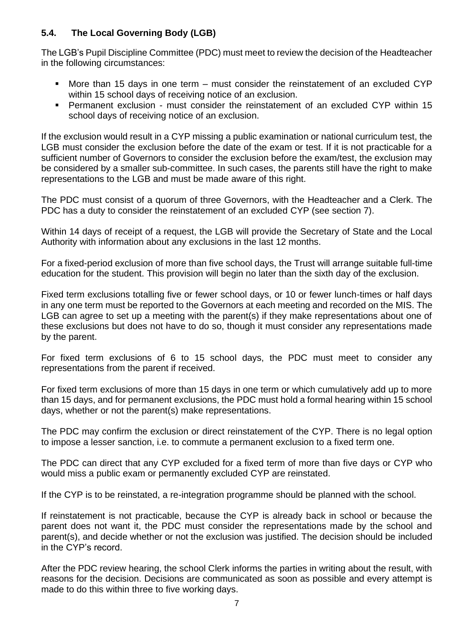#### <span id="page-6-0"></span>**5.4. The Local Governing Body (LGB)**

The LGB's Pupil Discipline Committee (PDC) must meet to review the decision of the Headteacher in the following circumstances:

- More than 15 days in one term  $-$  must consider the reinstatement of an excluded CYP within 15 school days of receiving notice of an exclusion.
- Permanent exclusion must consider the reinstatement of an excluded CYP within 15 school days of receiving notice of an exclusion.

If the exclusion would result in a CYP missing a public examination or national curriculum test, the LGB must consider the exclusion before the date of the exam or test. If it is not practicable for a sufficient number of Governors to consider the exclusion before the exam/test, the exclusion may be considered by a smaller sub-committee. In such cases, the parents still have the right to make representations to the LGB and must be made aware of this right.

The PDC must consist of a quorum of three Governors, with the Headteacher and a Clerk. The PDC has a duty to consider the reinstatement of an excluded CYP (see section 7).

Within 14 days of receipt of a request, the LGB will provide the Secretary of State and the Local Authority with information about any exclusions in the last 12 months.

For a fixed-period exclusion of more than five school days, the Trust will arrange suitable full-time education for the student. This provision will begin no later than the sixth day of the exclusion.

Fixed term exclusions totalling five or fewer school days, or 10 or fewer lunch-times or half days in any one term must be reported to the Governors at each meeting and recorded on the MIS. The LGB can agree to set up a meeting with the parent(s) if they make representations about one of these exclusions but does not have to do so, though it must consider any representations made by the parent.

For fixed term exclusions of 6 to 15 school days, the PDC must meet to consider any representations from the parent if received.

For fixed term exclusions of more than 15 days in one term or which cumulatively add up to more than 15 days, and for permanent exclusions, the PDC must hold a formal hearing within 15 school days, whether or not the parent(s) make representations.

The PDC may confirm the exclusion or direct reinstatement of the CYP. There is no legal option to impose a lesser sanction, i.e. to commute a permanent exclusion to a fixed term one.

The PDC can direct that any CYP excluded for a fixed term of more than five days or CYP who would miss a public exam or permanently excluded CYP are reinstated.

If the CYP is to be reinstated, a re-integration programme should be planned with the school.

If reinstatement is not practicable, because the CYP is already back in school or because the parent does not want it, the PDC must consider the representations made by the school and parent(s), and decide whether or not the exclusion was justified. The decision should be included in the CYP's record.

After the PDC review hearing, the school Clerk informs the parties in writing about the result, with reasons for the decision. Decisions are communicated as soon as possible and every attempt is made to do this within three to five working days.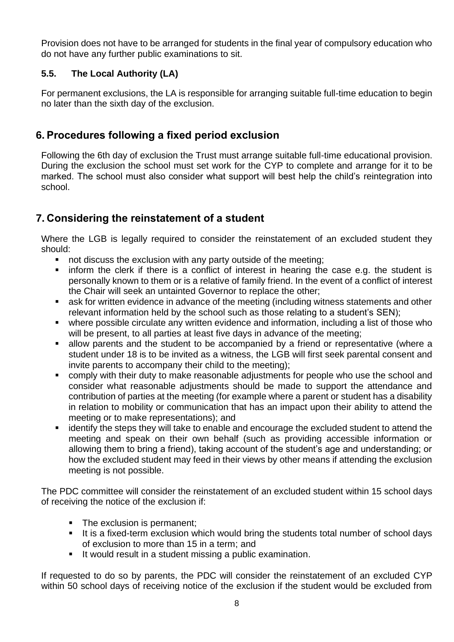Provision does not have to be arranged for students in the final year of compulsory education who do not have any further public examinations to sit.

#### <span id="page-7-0"></span>**5.5. The Local Authority (LA)**

For permanent exclusions, the LA is responsible for arranging suitable full-time education to begin no later than the sixth day of the exclusion.

## <span id="page-7-1"></span>**6. Procedures following a fixed period exclusion**

Following the 6th day of exclusion the Trust must arrange suitable full-time educational provision. During the exclusion the school must set work for the CYP to complete and arrange for it to be marked. The school must also consider what support will best help the child's reintegration into school.

# <span id="page-7-2"></span>**7. Considering the reinstatement of a student**

Where the LGB is legally required to consider the reinstatement of an excluded student they should:

- not discuss the exclusion with any party outside of the meeting;
- **Example 1** inform the clerk if there is a conflict of interest in hearing the case e.g. the student is personally known to them or is a relative of family friend. In the event of a conflict of interest the Chair will seek an untainted Governor to replace the other;
- ask for written evidence in advance of the meeting (including witness statements and other relevant information held by the school such as those relating to a student's SEN);
- where possible circulate any written evidence and information, including a list of those who will be present, to all parties at least five days in advance of the meeting;
- allow parents and the student to be accompanied by a friend or representative (where a student under 18 is to be invited as a witness, the LGB will first seek parental consent and invite parents to accompany their child to the meeting);
- comply with their duty to make reasonable adjustments for people who use the school and consider what reasonable adjustments should be made to support the attendance and contribution of parties at the meeting (for example where a parent or student has a disability in relation to mobility or communication that has an impact upon their ability to attend the meeting or to make representations); and
- identify the steps they will take to enable and encourage the excluded student to attend the meeting and speak on their own behalf (such as providing accessible information or allowing them to bring a friend), taking account of the student's age and understanding; or how the excluded student may feed in their views by other means if attending the exclusion meeting is not possible.

The PDC committee will consider the reinstatement of an excluded student within 15 school days of receiving the notice of the exclusion if:

- The exclusion is permanent;
- It is a fixed-term exclusion which would bring the students total number of school days of exclusion to more than 15 in a term; and
- It would result in a student missing a public examination.

If requested to do so by parents, the PDC will consider the reinstatement of an excluded CYP within 50 school days of receiving notice of the exclusion if the student would be excluded from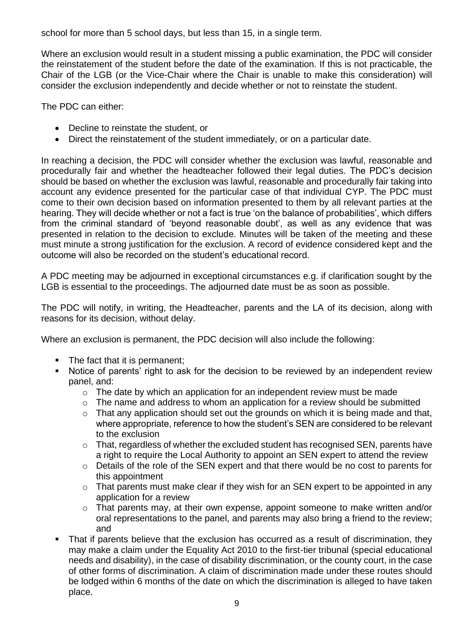school for more than 5 school days, but less than 15, in a single term.

Where an exclusion would result in a student missing a public examination, the PDC will consider the reinstatement of the student before the date of the examination. If this is not practicable, the Chair of the LGB (or the Vice-Chair where the Chair is unable to make this consideration) will consider the exclusion independently and decide whether or not to reinstate the student.

The PDC can either:

- Decline to reinstate the student, or
- Direct the reinstatement of the student immediately, or on a particular date.

In reaching a decision, the PDC will consider whether the exclusion was lawful, reasonable and procedurally fair and whether the headteacher followed their legal duties. The PDC's decision should be based on whether the exclusion was lawful, reasonable and procedurally fair taking into account any evidence presented for the particular case of that individual CYP. The PDC must come to their own decision based on information presented to them by all relevant parties at the hearing. They will decide whether or not a fact is true 'on the balance of probabilities', which differs from the criminal standard of 'beyond reasonable doubt', as well as any evidence that was presented in relation to the decision to exclude. Minutes will be taken of the meeting and these must minute a strong justification for the exclusion. A record of evidence considered kept and the outcome will also be recorded on the student's educational record.

A PDC meeting may be adjourned in exceptional circumstances e.g. if clarification sought by the LGB is essential to the proceedings. The adjourned date must be as soon as possible.

The PDC will notify, in writing, the Headteacher, parents and the LA of its decision, along with reasons for its decision, without delay.

Where an exclusion is permanent, the PDC decision will also include the following:

- The fact that it is permanent;
- Notice of parents' right to ask for the decision to be reviewed by an independent review panel, and:
	- o The date by which an application for an independent review must be made
	- o The name and address to whom an application for a review should be submitted
	- $\circ$  That any application should set out the grounds on which it is being made and that, where appropriate, reference to how the student's SEN are considered to be relevant to the exclusion
	- o That, regardless of whether the excluded student has recognised SEN, parents have a right to require the Local Authority to appoint an SEN expert to attend the review
	- o Details of the role of the SEN expert and that there would be no cost to parents for this appointment
	- o That parents must make clear if they wish for an SEN expert to be appointed in any application for a review
	- o That parents may, at their own expense, appoint someone to make written and/or oral representations to the panel, and parents may also bring a friend to the review; and
- **•** That if parents believe that the exclusion has occurred as a result of discrimination, they may make a claim under the Equality Act 2010 to the first-tier tribunal (special educational needs and disability), in the case of disability discrimination, or the county court, in the case of other forms of discrimination. A claim of discrimination made under these routes should be lodged within 6 months of the date on which the discrimination is alleged to have taken place.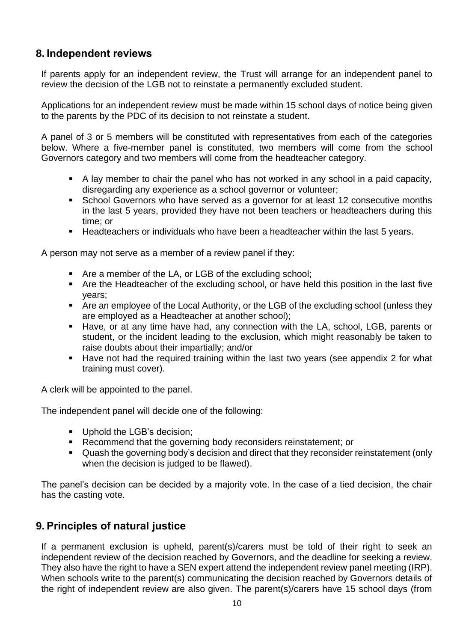## <span id="page-9-0"></span>**8. Independent reviews**

If parents apply for an independent review, the Trust will arrange for an independent panel to review the decision of the LGB not to reinstate a permanently excluded student.

Applications for an independent review must be made within 15 school days of notice being given to the parents by the PDC of its decision to not reinstate a student.

A panel of 3 or 5 members will be constituted with representatives from each of the categories below. Where a five-member panel is constituted, two members will come from the school Governors category and two members will come from the headteacher category.

- A lay member to chair the panel who has not worked in any school in a paid capacity, disregarding any experience as a school governor or volunteer;
- School Governors who have served as a governor for at least 12 consecutive months in the last 5 years, provided they have not been teachers or headteachers during this time; or
- Headteachers or individuals who have been a headteacher within the last 5 years.

A person may not serve as a member of a review panel if they:

- Are a member of the LA, or LGB of the excluding school;
- Are the Headteacher of the excluding school, or have held this position in the last five years;
- Are an employee of the Local Authority, or the LGB of the excluding school (unless they are employed as a Headteacher at another school);
- Have, or at any time have had, any connection with the LA, school, LGB, parents or student, or the incident leading to the exclusion, which might reasonably be taken to raise doubts about their impartially; and/or
- Have not had the required training within the last two years (see appendix 2 for what training must cover).

A clerk will be appointed to the panel.

The independent panel will decide one of the following:

- Uphold the LGB's decision:
- Recommend that the governing body reconsiders reinstatement; or
- Quash the governing body's decision and direct that they reconsider reinstatement (only when the decision is judged to be flawed).

The panel's decision can be decided by a majority vote. In the case of a tied decision, the chair has the casting vote.

#### <span id="page-9-1"></span>**9. Principles of natural justice**

If a permanent exclusion is upheld, parent(s)/carers must be told of their right to seek an independent review of the decision reached by Governors, and the deadline for seeking a review. They also have the right to have a SEN expert attend the independent review panel meeting (IRP). When schools write to the parent(s) communicating the decision reached by Governors details of the right of independent review are also given. The parent(s)/carers have 15 school days (from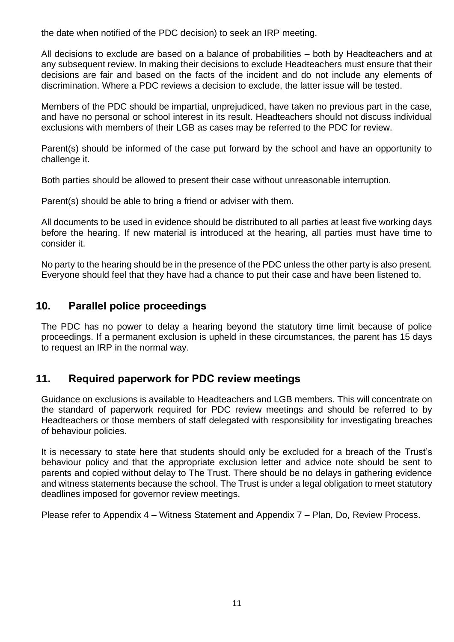the date when notified of the PDC decision) to seek an IRP meeting.

All decisions to exclude are based on a balance of probabilities – both by Headteachers and at any subsequent review. In making their decisions to exclude Headteachers must ensure that their decisions are fair and based on the facts of the incident and do not include any elements of discrimination. Where a PDC reviews a decision to exclude, the latter issue will be tested.

Members of the PDC should be impartial, unprejudiced, have taken no previous part in the case, and have no personal or school interest in its result. Headteachers should not discuss individual exclusions with members of their LGB as cases may be referred to the PDC for review.

Parent(s) should be informed of the case put forward by the school and have an opportunity to challenge it.

Both parties should be allowed to present their case without unreasonable interruption.

Parent(s) should be able to bring a friend or adviser with them.

All documents to be used in evidence should be distributed to all parties at least five working days before the hearing. If new material is introduced at the hearing, all parties must have time to consider it.

No party to the hearing should be in the presence of the PDC unless the other party is also present. Everyone should feel that they have had a chance to put their case and have been listened to.

#### <span id="page-10-0"></span>**10. Parallel police proceedings**

The PDC has no power to delay a hearing beyond the statutory time limit because of police proceedings. If a permanent exclusion is upheld in these circumstances, the parent has 15 days to request an IRP in the normal way.

#### <span id="page-10-1"></span>**11. Required paperwork for PDC review meetings**

Guidance on exclusions is available to Headteachers and LGB members. This will concentrate on the standard of paperwork required for PDC review meetings and should be referred to by Headteachers or those members of staff delegated with responsibility for investigating breaches of behaviour policies.

It is necessary to state here that students should only be excluded for a breach of the Trust's behaviour policy and that the appropriate exclusion letter and advice note should be sent to parents and copied without delay to The Trust. There should be no delays in gathering evidence and witness statements because the school. The Trust is under a legal obligation to meet statutory deadlines imposed for governor review meetings.

Please refer to Appendix 4 – Witness Statement and Appendix 7 – Plan, Do, Review Process.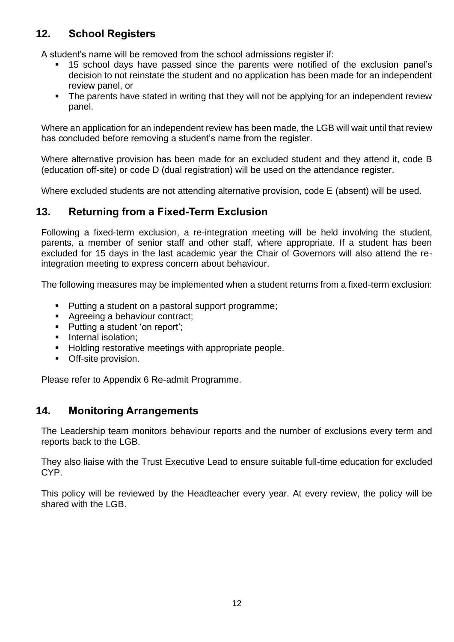# <span id="page-11-0"></span>**12. School Registers**

A student's name will be removed from the school admissions register if:

- 15 school days have passed since the parents were notified of the exclusion panel's decision to not reinstate the student and no application has been made for an independent review panel, or
- The parents have stated in writing that they will not be applying for an independent review panel.

Where an application for an independent review has been made, the LGB will wait until that review has concluded before removing a student's name from the register.

Where alternative provision has been made for an excluded student and they attend it, code B (education off-site) or code D (dual registration) will be used on the attendance register.

Where excluded students are not attending alternative provision, code E (absent) will be used.

#### <span id="page-11-1"></span>**13. Returning from a Fixed-Term Exclusion**

Following a fixed-term exclusion, a re-integration meeting will be held involving the student, parents, a member of senior staff and other staff, where appropriate. If a student has been excluded for 15 days in the last academic year the Chair of Governors will also attend the reintegration meeting to express concern about behaviour.

The following measures may be implemented when a student returns from a fixed-term exclusion:

- Putting a student on a pastoral support programme;
- Agreeing a behaviour contract;
- Putting a student 'on report';
- **·** Internal isolation;
- Holding restorative meetings with appropriate people.
- Off-site provision.

Please refer to Appendix 6 Re-admit Programme.

#### <span id="page-11-2"></span>**14. Monitoring Arrangements**

The Leadership team monitors behaviour reports and the number of exclusions every term and reports back to the LGB.

They also liaise with the Trust Executive Lead to ensure suitable full-time education for excluded CYP.

This policy will be reviewed by the Headteacher every year. At every review, the policy will be shared with the LGB.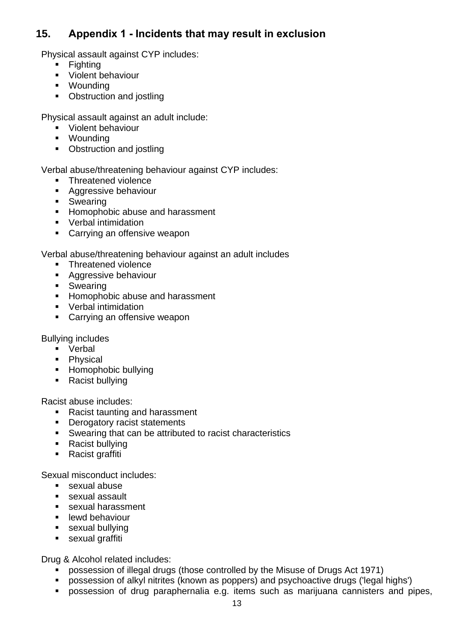## <span id="page-12-0"></span>**15. Appendix 1 - Incidents that may result in exclusion**

Physical assault against CYP includes:

- Fighting
- Violent behaviour
- Wounding
- Obstruction and jostling

Physical assault against an adult include:

- Violent behaviour
- Wounding
- Obstruction and jostling

Verbal abuse/threatening behaviour against CYP includes:

- Threatened violence
- Aggressive behaviour
- Swearing
- **E** Homophobic abuse and harassment
- Verbal intimidation
- Carrying an offensive weapon

Verbal abuse/threatening behaviour against an adult includes

- Threatened violence
- Aggressive behaviour
- Swearing
- **E** Homophobic abuse and harassment
- Verbal intimidation
- Carrying an offensive weapon

Bullying includes

- Verbal
- Physical
- Homophobic bullying
- Racist bullying

Racist abuse includes:

- Racist taunting and harassment
- **•** Derogatory racist statements
- Swearing that can be attributed to racist characteristics
- Racist bullying
- Racist graffiti

Sexual misconduct includes:

- sexual abuse
- sexual assault
- sexual harassment
- **E** lewd behaviour
- sexual bullying
- sexual graffiti

Drug & Alcohol related includes:

- possession of illegal drugs (those controlled by the Misuse of Drugs Act 1971)
- possession of alkyl nitrites (known as poppers) and psychoactive drugs ('legal highs')
- **•** possession of drug paraphernalia e.g. items such as marijuana cannisters and pipes,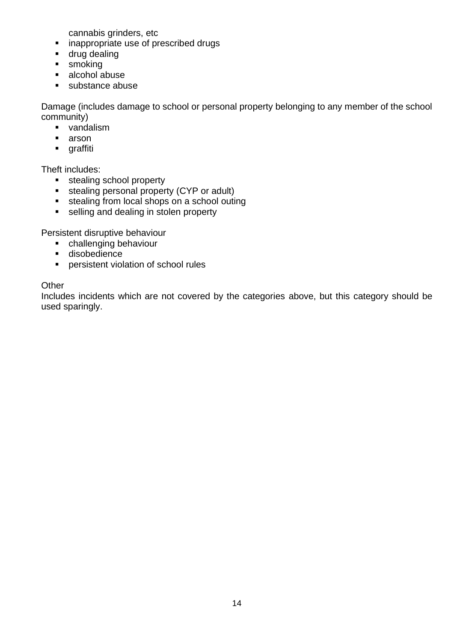cannabis grinders, etc

- inappropriate use of prescribed drugs
- drug dealing
- smoking
- alcohol abuse
- substance abuse

Damage (includes damage to school or personal property belonging to any member of the school community)

- vandalism
- arson
- graffiti

Theft includes:

- stealing school property
- stealing personal property (CYP or adult)
- stealing from local shops on a school outing
- selling and dealing in stolen property

Persistent disruptive behaviour

- challenging behaviour
- disobedience
- persistent violation of school rules

#### **Other**

Includes incidents which are not covered by the categories above, but this category should be used sparingly.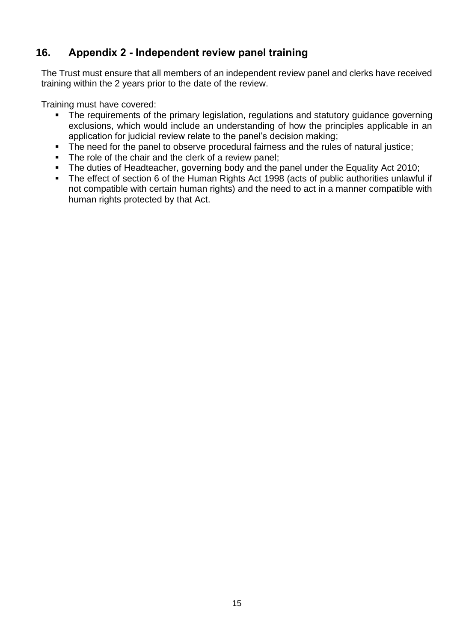# <span id="page-14-0"></span>**16. Appendix 2 - Independent review panel training**

The Trust must ensure that all members of an independent review panel and clerks have received training within the 2 years prior to the date of the review.

Training must have covered:

- **•** The requirements of the primary legislation, regulations and statutory guidance governing exclusions, which would include an understanding of how the principles applicable in an application for judicial review relate to the panel's decision making;
- The need for the panel to observe procedural fairness and the rules of natural justice;
- The role of the chair and the clerk of a review panel;
- The duties of Headteacher, governing body and the panel under the Equality Act 2010;
- The effect of section 6 of the Human Rights Act 1998 (acts of public authorities unlawful if not compatible with certain human rights) and the need to act in a manner compatible with human rights protected by that Act.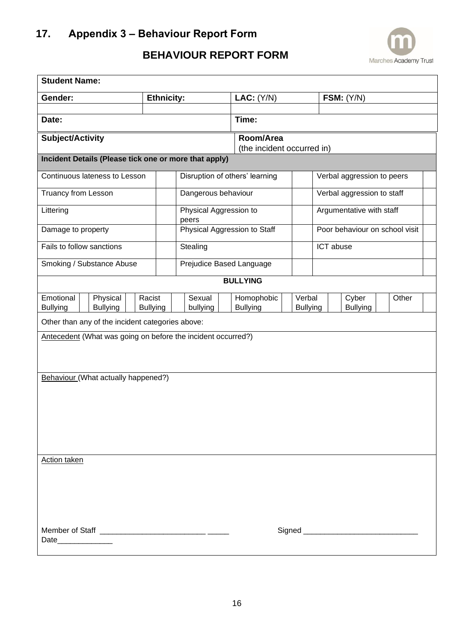

# **BEHAVIOUR REPORT FORM**

<span id="page-15-0"></span>

| <b>Student Name:</b>         |  |                                                              |                   |                 |                                 |                     |       |                                         |                            |                           |                          |                                |       |  |  |
|------------------------------|--|--------------------------------------------------------------|-------------------|-----------------|---------------------------------|---------------------|-------|-----------------------------------------|----------------------------|---------------------------|--------------------------|--------------------------------|-------|--|--|
| Gender:                      |  |                                                              | <b>Ethnicity:</b> |                 |                                 | LAC: (Y/N)          |       |                                         | <b>FSM:</b> (Y/N)          |                           |                          |                                |       |  |  |
| Date:                        |  |                                                              |                   |                 |                                 |                     | Time: |                                         |                            |                           |                          |                                |       |  |  |
| Subject/Activity             |  |                                                              |                   |                 |                                 |                     |       | Room/Area<br>(the incident occurred in) |                            |                           |                          |                                |       |  |  |
|                              |  | Incident Details (Please tick one or more that apply)        |                   |                 |                                 |                     |       |                                         |                            |                           |                          |                                |       |  |  |
|                              |  | Continuous lateness to Lesson                                |                   |                 |                                 |                     |       | Disruption of others' learning          |                            |                           |                          | Verbal aggression to peers     |       |  |  |
| <b>Truancy from Lesson</b>   |  |                                                              |                   |                 |                                 | Dangerous behaviour |       |                                         | Verbal aggression to staff |                           |                          |                                |       |  |  |
| Littering                    |  |                                                              |                   |                 | Physical Aggression to<br>peers |                     |       |                                         |                            |                           | Argumentative with staff |                                |       |  |  |
| Damage to property           |  |                                                              |                   |                 |                                 |                     |       | Physical Aggression to Staff            |                            |                           |                          | Poor behaviour on school visit |       |  |  |
| Fails to follow sanctions    |  |                                                              |                   |                 |                                 | Stealing            |       |                                         |                            |                           | ICT abuse                |                                |       |  |  |
|                              |  | Smoking / Substance Abuse                                    |                   |                 | Prejudice Based Language        |                     |       |                                         |                            |                           |                          |                                |       |  |  |
|                              |  |                                                              |                   |                 |                                 |                     |       | <b>BULLYING</b>                         |                            |                           |                          |                                |       |  |  |
| Emotional<br><b>Bullying</b> |  | Physical<br><b>Bullying</b>                                  | Racist            | <b>Bullying</b> |                                 | Sexual<br>bullying  |       | Homophobic<br><b>Bullying</b>           |                            | Verbal<br><b>Bullying</b> | Cyber<br><b>Bullying</b> |                                | Other |  |  |
|                              |  | Other than any of the incident categories above:             |                   |                 |                                 |                     |       |                                         |                            |                           |                          |                                |       |  |  |
|                              |  | Antecedent (What was going on before the incident occurred?) |                   |                 |                                 |                     |       |                                         |                            |                           |                          |                                |       |  |  |
|                              |  |                                                              |                   |                 |                                 |                     |       |                                         |                            |                           |                          |                                |       |  |  |
|                              |  | Behaviour (What actually happened?)                          |                   |                 |                                 |                     |       |                                         |                            |                           |                          |                                |       |  |  |
|                              |  |                                                              |                   |                 |                                 |                     |       |                                         |                            |                           |                          |                                |       |  |  |
|                              |  |                                                              |                   |                 |                                 |                     |       |                                         |                            |                           |                          |                                |       |  |  |
|                              |  |                                                              |                   |                 |                                 |                     |       |                                         |                            |                           |                          |                                |       |  |  |
|                              |  |                                                              |                   |                 |                                 |                     |       |                                         |                            |                           |                          |                                |       |  |  |
| <b>Action taken</b>          |  |                                                              |                   |                 |                                 |                     |       |                                         |                            |                           |                          |                                |       |  |  |
|                              |  |                                                              |                   |                 |                                 |                     |       |                                         |                            |                           |                          |                                |       |  |  |
|                              |  |                                                              |                   |                 |                                 |                     |       |                                         |                            |                           |                          |                                |       |  |  |
|                              |  |                                                              |                   |                 |                                 |                     |       |                                         |                            |                           |                          |                                |       |  |  |
|                              |  |                                                              |                   |                 |                                 |                     |       |                                         |                            |                           |                          |                                |       |  |  |
| Date________________         |  |                                                              |                   |                 |                                 |                     |       |                                         |                            |                           |                          |                                |       |  |  |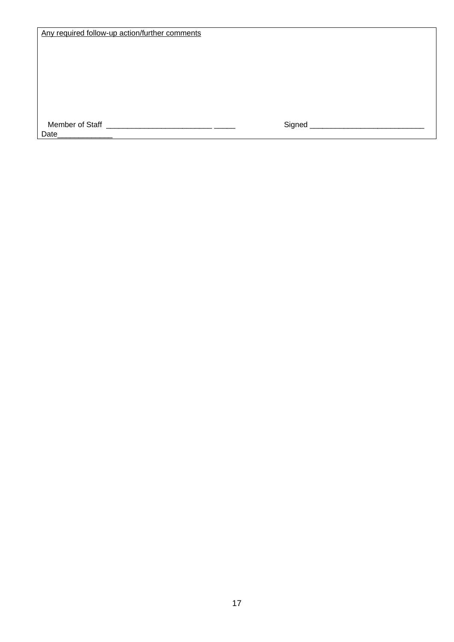| Any required follow-up action/further comments |
|------------------------------------------------|
|------------------------------------------------|

 Member of Staff \_\_\_\_\_\_\_\_\_\_\_\_\_\_\_\_\_\_\_\_\_\_\_\_\_ \_\_\_\_\_ Signed \_\_\_\_\_\_\_\_\_\_\_\_\_\_\_\_\_\_\_\_\_\_\_\_\_\_\_ Date

17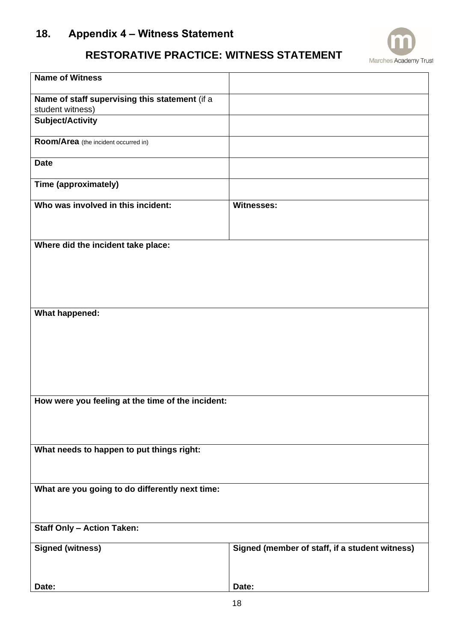# <span id="page-17-0"></span>**18. Appendix 4 – Witness Statement**

# **RESTORATIVE PRACTICE: WITNESS STATEMENT**

**Marches Academy Trust** 

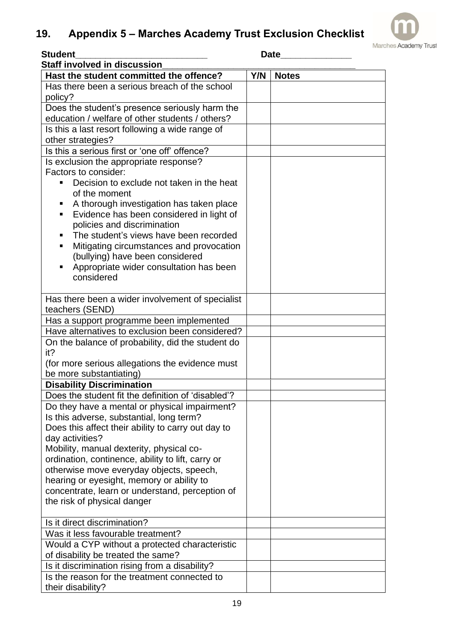# <span id="page-18-0"></span>**19. Appendix 5 – Marches Academy Trust Exclusion Checklist**



| <b>Student</b>                                           | <b>Date</b> |              |  |  |  |
|----------------------------------------------------------|-------------|--------------|--|--|--|
| <b>Staff involved in discussion</b>                      |             |              |  |  |  |
| Hast the student committed the offence?                  | Y/N         | <b>Notes</b> |  |  |  |
| Has there been a serious breach of the school<br>policy? |             |              |  |  |  |
| Does the student's presence seriously harm the           |             |              |  |  |  |
| education / welfare of other students / others?          |             |              |  |  |  |
| Is this a last resort following a wide range of          |             |              |  |  |  |
| other strategies?                                        |             |              |  |  |  |
| Is this a serious first or 'one off' offence?            |             |              |  |  |  |
| Is exclusion the appropriate response?                   |             |              |  |  |  |
| Factors to consider:                                     |             |              |  |  |  |
| Decision to exclude not taken in the heat                |             |              |  |  |  |
| of the moment                                            |             |              |  |  |  |
| A thorough investigation has taken place<br>п            |             |              |  |  |  |
| Evidence has been considered in light of<br>п            |             |              |  |  |  |
| policies and discrimination                              |             |              |  |  |  |
| The student's views have been recorded<br>п              |             |              |  |  |  |
| Mitigating circumstances and provocation<br>٠            |             |              |  |  |  |
| (bullying) have been considered                          |             |              |  |  |  |
| Appropriate wider consultation has been<br>П             |             |              |  |  |  |
| considered                                               |             |              |  |  |  |
|                                                          |             |              |  |  |  |
| Has there been a wider involvement of specialist         |             |              |  |  |  |
| teachers (SEND)                                          |             |              |  |  |  |
| Has a support programme been implemented                 |             |              |  |  |  |
| Have alternatives to exclusion been considered?          |             |              |  |  |  |
| On the balance of probability, did the student do        |             |              |  |  |  |
| it?                                                      |             |              |  |  |  |
| (for more serious allegations the evidence must          |             |              |  |  |  |
| be more substantiating)                                  |             |              |  |  |  |
| <b>Disability Discrimination</b>                         |             |              |  |  |  |
| Does the student fit the definition of 'disabled'?       |             |              |  |  |  |
| Do they have a mental or physical impairment?            |             |              |  |  |  |
| Is this adverse, substantial, long term?                 |             |              |  |  |  |
| Does this affect their ability to carry out day to       |             |              |  |  |  |
| day activities?                                          |             |              |  |  |  |
| Mobility, manual dexterity, physical co-                 |             |              |  |  |  |
| ordination, continence, ability to lift, carry or        |             |              |  |  |  |
| otherwise move everyday objects, speech,                 |             |              |  |  |  |
| hearing or eyesight, memory or ability to                |             |              |  |  |  |
| concentrate, learn or understand, perception of          |             |              |  |  |  |
| the risk of physical danger                              |             |              |  |  |  |
| Is it direct discrimination?                             |             |              |  |  |  |
| Was it less favourable treatment?                        |             |              |  |  |  |
| Would a CYP without a protected characteristic           |             |              |  |  |  |
| of disability be treated the same?                       |             |              |  |  |  |
| Is it discrimination rising from a disability?           |             |              |  |  |  |
| Is the reason for the treatment connected to             |             |              |  |  |  |
| their disability?                                        |             |              |  |  |  |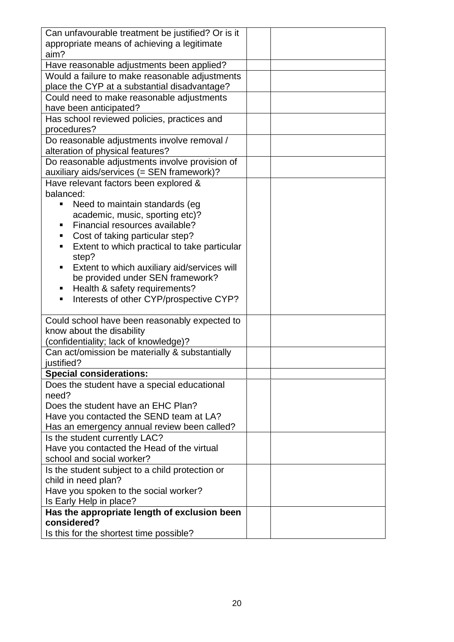| Can unfavourable treatment be justified? Or is it |  |  |  |  |  |  |
|---------------------------------------------------|--|--|--|--|--|--|
| appropriate means of achieving a legitimate       |  |  |  |  |  |  |
| aim?                                              |  |  |  |  |  |  |
| Have reasonable adjustments been applied?         |  |  |  |  |  |  |
| Would a failure to make reasonable adjustments    |  |  |  |  |  |  |
|                                                   |  |  |  |  |  |  |
| place the CYP at a substantial disadvantage?      |  |  |  |  |  |  |
| Could need to make reasonable adjustments         |  |  |  |  |  |  |
| have been anticipated?                            |  |  |  |  |  |  |
| Has school reviewed policies, practices and       |  |  |  |  |  |  |
| procedures?                                       |  |  |  |  |  |  |
| Do reasonable adjustments involve removal /       |  |  |  |  |  |  |
| alteration of physical features?                  |  |  |  |  |  |  |
| Do reasonable adjustments involve provision of    |  |  |  |  |  |  |
| auxiliary aids/services (= SEN framework)?        |  |  |  |  |  |  |
| Have relevant factors been explored &             |  |  |  |  |  |  |
| balanced:                                         |  |  |  |  |  |  |
| Need to maintain standards (eg<br>п               |  |  |  |  |  |  |
| academic, music, sporting etc)?                   |  |  |  |  |  |  |
| Financial resources available?                    |  |  |  |  |  |  |
| п                                                 |  |  |  |  |  |  |
| Cost of taking particular step?                   |  |  |  |  |  |  |
| Extent to which practical to take particular<br>п |  |  |  |  |  |  |
| step?                                             |  |  |  |  |  |  |
| Extent to which auxiliary aid/services will<br>п  |  |  |  |  |  |  |
| be provided under SEN framework?                  |  |  |  |  |  |  |
| Health & safety requirements?<br>п                |  |  |  |  |  |  |
| Interests of other CYP/prospective CYP?<br>٠      |  |  |  |  |  |  |
|                                                   |  |  |  |  |  |  |
| Could school have been reasonably expected to     |  |  |  |  |  |  |
| know about the disability                         |  |  |  |  |  |  |
| (confidentiality; lack of knowledge)?             |  |  |  |  |  |  |
| Can act/omission be materially & substantially    |  |  |  |  |  |  |
| justified?                                        |  |  |  |  |  |  |
| <b>Special considerations:</b>                    |  |  |  |  |  |  |
| Does the student have a special educational       |  |  |  |  |  |  |
| need?                                             |  |  |  |  |  |  |
| Does the student have an EHC Plan?                |  |  |  |  |  |  |
| Have you contacted the SEND team at LA?           |  |  |  |  |  |  |
|                                                   |  |  |  |  |  |  |
| Has an emergency annual review been called?       |  |  |  |  |  |  |
| Is the student currently LAC?                     |  |  |  |  |  |  |
| Have you contacted the Head of the virtual        |  |  |  |  |  |  |
| school and social worker?                         |  |  |  |  |  |  |
| Is the student subject to a child protection or   |  |  |  |  |  |  |
| child in need plan?                               |  |  |  |  |  |  |
| Have you spoken to the social worker?             |  |  |  |  |  |  |
| Is Early Help in place?                           |  |  |  |  |  |  |
| Has the appropriate length of exclusion been      |  |  |  |  |  |  |
| considered?                                       |  |  |  |  |  |  |
| Is this for the shortest time possible?           |  |  |  |  |  |  |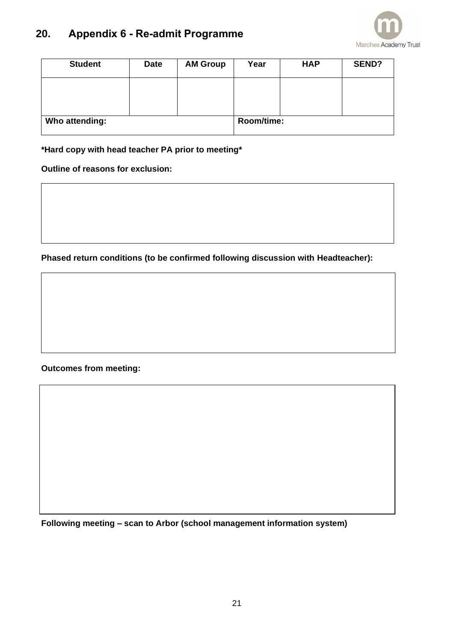# <span id="page-20-0"></span>**20. Appendix 6 - Re-admit Programme**



| <b>Student</b> | <b>Date</b> | <b>AM Group</b> | Year | <b>HAP</b> | <b>SEND?</b> |
|----------------|-------------|-----------------|------|------------|--------------|
|                |             |                 |      |            |              |
|                |             |                 |      |            |              |
| Who attending: |             | Room/time:      |      |            |              |

#### **\*Hard copy with head teacher PA prior to meeting\***

**Outline of reasons for exclusion:**

**Phased return conditions (to be confirmed following discussion with Headteacher):**

**Outcomes from meeting:**

**Following meeting – scan to Arbor (school management information system)**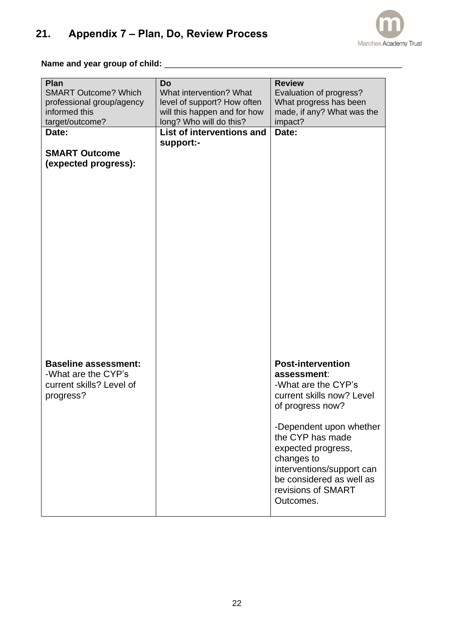

#### <span id="page-21-0"></span>**Name and year group of child:** \_\_\_\_\_\_\_\_\_\_\_\_\_\_\_\_\_\_\_\_\_\_\_\_\_\_\_\_\_\_\_\_\_\_\_\_\_\_\_\_\_\_\_\_\_\_\_\_\_\_\_

| Plan                        | Do                           | <b>Review</b>                      |
|-----------------------------|------------------------------|------------------------------------|
| <b>SMART Outcome? Which</b> | What intervention? What      | Evaluation of progress?            |
| professional group/agency   | level of support? How often  | What progress has been             |
| informed this               | will this happen and for how | made, if any? What was the         |
| target/outcome?             | long? Who will do this?      | impact?                            |
| Date:                       | List of interventions and    | Date:                              |
|                             | support:-                    |                                    |
| <b>SMART Outcome</b>        |                              |                                    |
| (expected progress):        |                              |                                    |
|                             |                              |                                    |
|                             |                              |                                    |
|                             |                              |                                    |
|                             |                              |                                    |
|                             |                              |                                    |
|                             |                              |                                    |
|                             |                              |                                    |
|                             |                              |                                    |
|                             |                              |                                    |
|                             |                              |                                    |
|                             |                              |                                    |
|                             |                              |                                    |
|                             |                              |                                    |
|                             |                              |                                    |
|                             |                              |                                    |
|                             |                              |                                    |
|                             |                              |                                    |
|                             |                              |                                    |
|                             |                              |                                    |
| <b>Baseline assessment:</b> |                              | <b>Post-intervention</b>           |
| -What are the CYP's         |                              |                                    |
|                             |                              | assessment:<br>-What are the CYP's |
| current skills? Level of    |                              |                                    |
| progress?                   |                              | current skills now? Level          |
|                             |                              | of progress now?                   |
|                             |                              |                                    |
|                             |                              | -Dependent upon whether            |
|                             |                              | the CYP has made                   |
|                             |                              | expected progress,                 |
|                             |                              | changes to                         |
|                             |                              | interventions/support can          |
|                             |                              | be considered as well as           |
|                             |                              | revisions of SMART                 |
|                             |                              | Outcomes.                          |
|                             |                              |                                    |